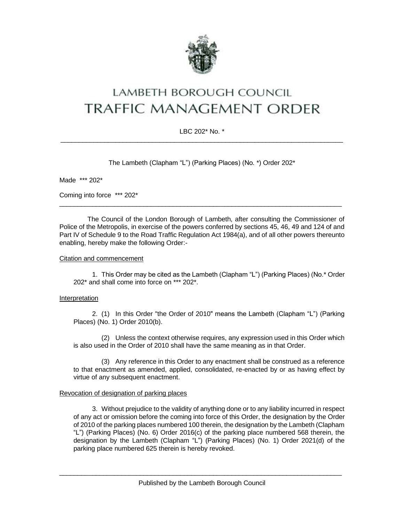

# lambeth borough council **TRAFFIC MANAGEMENT ORDER**

## LBC 202\* No. \*  $\_$  ,  $\_$  ,  $\_$  ,  $\_$  ,  $\_$  ,  $\_$  ,  $\_$  ,  $\_$  ,  $\_$  ,  $\_$  ,  $\_$  ,  $\_$  ,  $\_$  ,  $\_$  ,  $\_$  ,  $\_$  ,  $\_$  ,  $\_$  ,  $\_$  ,  $\_$

The Lambeth (Clapham "L") (Parking Places) (No. \*) Order 202\*

Made \*\*\* 202\*

Coming into force \*\*\* 202\*

The Council of the London Borough of Lambeth, after consulting the Commissioner of Police of the Metropolis, in exercise of the powers conferred by sections 45, 46, 49 and 124 of and Part IV of Schedule 9 to the Road Traffic Regulation Act 1984(a), and of all other powers thereunto enabling, hereby make the following Order:-

\_\_\_\_\_\_\_\_\_\_\_\_\_\_\_\_\_\_\_\_\_\_\_\_\_\_\_\_\_\_\_\_\_\_\_\_\_\_\_\_\_\_\_\_\_\_\_\_\_\_\_\_\_\_\_\_\_\_\_\_\_\_\_\_\_\_\_\_\_\_\_\_\_\_\_\_\_

#### Citation and commencement

1. This Order may be cited as the Lambeth (Clapham "L") (Parking Places) (No.\* Order 202\* and shall come into force on \*\*\* 202\*.

## Interpretation

2. (1) In this Order "the Order of 2010" means the Lambeth (Clapham "L") (Parking Places) (No. 1) Order 2010(b).

(2) Unless the context otherwise requires, any expression used in this Order which is also used in the Order of 2010 shall have the same meaning as in that Order.

(3) Any reference in this Order to any enactment shall be construed as a reference to that enactment as amended, applied, consolidated, re-enacted by or as having effect by virtue of any subsequent enactment.

## Revocation of designation of parking places

3. Without prejudice to the validity of anything done or to any liability incurred in respect of any act or omission before the coming into force of this Order, the designation by the Order of 2010 of the parking places numbered 100 therein, the designation by the Lambeth (Clapham "L") (Parking Places) (No. 6) Order 2016(c) of the parking place numbered 568 therein, the designation by the Lambeth (Clapham "L") (Parking Places) (No. 1) Order 2021(d) of the parking place numbered 625 therein is hereby revoked.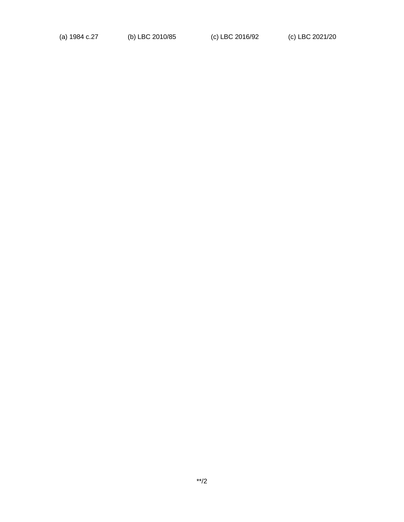(a) 1984 c.27 (b) LBC 2010/85 (c) LBC 2016/92 (c) LBC 2021/20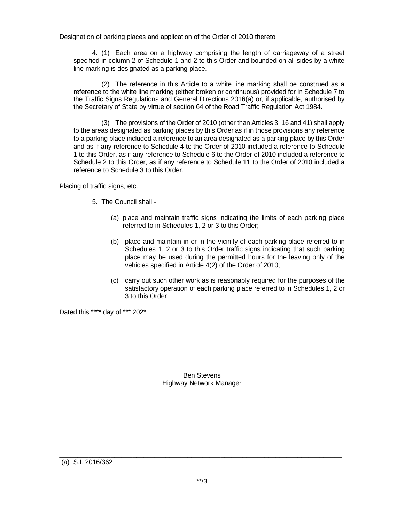4. (1) Each area on a highway comprising the length of carriageway of a street specified in column 2 of Schedule 1 and 2 to this Order and bounded on all sides by a white line marking is designated as a parking place.

(2) The reference in this Article to a white line marking shall be construed as a reference to the white line marking (either broken or continuous) provided for in Schedule 7 to the Traffic Signs Regulations and General Directions 2016(a) or, if applicable, authorised by the Secretary of State by virtue of section 64 of the Road Traffic Regulation Act 1984.

(3) The provisions of the Order of 2010 (other than Articles 3, 16 and 41) shall apply to the areas designated as parking places by this Order as if in those provisions any reference to a parking place included a reference to an area designated as a parking place by this Order and as if any reference to Schedule 4 to the Order of 2010 included a reference to Schedule 1 to this Order, as if any reference to Schedule 6 to the Order of 2010 included a reference to Schedule 2 to this Order, as if any reference to Schedule 11 to the Order of 2010 included a reference to Schedule 3 to this Order.

## Placing of traffic signs, etc.

- 5. The Council shall:-
	- (a) place and maintain traffic signs indicating the limits of each parking place referred to in Schedules 1, 2 or 3 to this Order;
	- (b) place and maintain in or in the vicinity of each parking place referred to in Schedules 1, 2 or 3 to this Order traffic signs indicating that such parking place may be used during the permitted hours for the leaving only of the vehicles specified in Article 4(2) of the Order of 2010;
	- (c) carry out such other work as is reasonably required for the purposes of the satisfactory operation of each parking place referred to in Schedules 1, 2 or 3 to this Order.

Dated this \*\*\*\* day of \*\*\* 202\*.

Ben Stevens Highway Network Manager

\_\_\_\_\_\_\_\_\_\_\_\_\_\_\_\_\_\_\_\_\_\_\_\_\_\_\_\_\_\_\_\_\_\_\_\_\_\_\_\_\_\_\_\_\_\_\_\_\_\_\_\_\_\_\_\_\_\_\_\_\_\_\_\_\_\_\_\_\_\_\_\_\_\_\_\_\_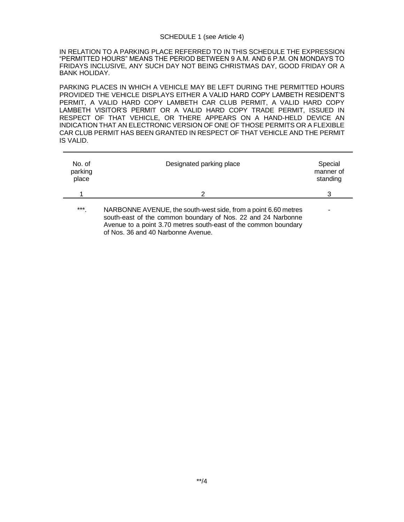#### SCHEDULE 1 (see Article 4)

IN RELATION TO A PARKING PLACE REFERRED TO IN THIS SCHEDULE THE EXPRESSION "PERMITTED HOURS" MEANS THE PERIOD BETWEEN 9 A.M. AND 6 P.M. ON MONDAYS TO FRIDAYS INCLUSIVE, ANY SUCH DAY NOT BEING CHRISTMAS DAY, GOOD FRIDAY OR A BANK HOLIDAY.

PARKING PLACES IN WHICH A VEHICLE MAY BE LEFT DURING THE PERMITTED HOURS PROVIDED THE VEHICLE DISPLAYS EITHER A VALID HARD COPY LAMBETH RESIDENT'S PERMIT, A VALID HARD COPY LAMBETH CAR CLUB PERMIT, A VALID HARD COPY LAMBETH VISITOR'S PERMIT OR A VALID HARD COPY TRADE PERMIT, ISSUED IN RESPECT OF THAT VEHICLE, OR THERE APPEARS ON A HAND-HELD DEVICE AN INDICATION THAT AN ELECTRONIC VERSION OF ONE OF THOSE PERMITS OR A FLEXIBLE CAR CLUB PERMIT HAS BEEN GRANTED IN RESPECT OF THAT VEHICLE AND THE PERMIT IS VALID.

| No. of<br>parking<br>place | Designated parking place                                                                                                                                                                          | Special<br>manner of<br>standing |
|----------------------------|---------------------------------------------------------------------------------------------------------------------------------------------------------------------------------------------------|----------------------------------|
|                            | 2                                                                                                                                                                                                 | 3                                |
| $***$                      | NARBONNE AVENUE, the south-west side, from a point 6.60 metres<br>south-east of the common boundary of Nos. 22 and 24 Narbonne<br>Avenue to a point 3.70 metres south-east of the common boundary | $\overline{\phantom{0}}$         |

of Nos. 36 and 40 Narbonne Avenue.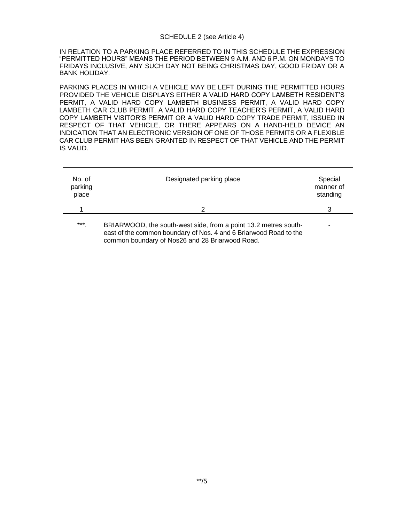#### SCHEDULE 2 (see Article 4)

IN RELATION TO A PARKING PLACE REFERRED TO IN THIS SCHEDULE THE EXPRESSION "PERMITTED HOURS" MEANS THE PERIOD BETWEEN 9 A.M. AND 6 P.M. ON MONDAYS TO FRIDAYS INCLUSIVE, ANY SUCH DAY NOT BEING CHRISTMAS DAY, GOOD FRIDAY OR A BANK HOLIDAY.

PARKING PLACES IN WHICH A VEHICLE MAY BE LEFT DURING THE PERMITTED HOURS PROVIDED THE VEHICLE DISPLAYS EITHER A VALID HARD COPY LAMBETH RESIDENT'S PERMIT, A VALID HARD COPY LAMBETH BUSINESS PERMIT, A VALID HARD COPY LAMBETH CAR CLUB PERMIT, A VALID HARD COPY TEACHER'S PERMIT, A VALID HARD COPY LAMBETH VISITOR'S PERMIT OR A VALID HARD COPY TRADE PERMIT, ISSUED IN RESPECT OF THAT VEHICLE, OR THERE APPEARS ON A HAND-HELD DEVICE AN INDICATION THAT AN ELECTRONIC VERSION OF ONE OF THOSE PERMITS OR A FLEXIBLE CAR CLUB PERMIT HAS BEEN GRANTED IN RESPECT OF THAT VEHICLE AND THE PERMIT IS VALID.

| No. of<br>parking<br>place | Designated parking place                                                                                                                                                                | Special<br>manner of<br>standing |
|----------------------------|-----------------------------------------------------------------------------------------------------------------------------------------------------------------------------------------|----------------------------------|
|                            | 2                                                                                                                                                                                       | 3                                |
| $***$                      | BRIARWOOD, the south-west side, from a point 13.2 metres south-<br>east of the common boundary of Nos. 4 and 6 Briarwood Road to the<br>common boundary of Nos26 and 28 Briarwood Road. |                                  |